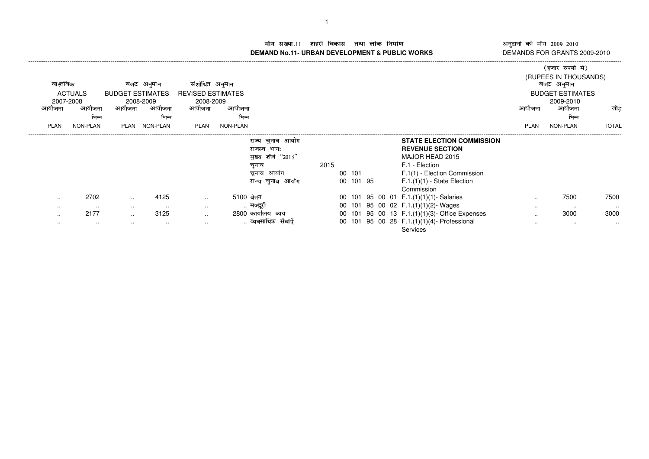- **DEMAND No.11- URBAN DEVELOPMENT & PUBLIC WORKS** DEMANDS FOR GRANTS 2009-2010

नुदानों की माँगें 2009–2010<br>EMANDS FOR GRANTS 2009-2011 ---------------------

|             |                |           |                         |                          |           |                          |      |           |  |  |  |                                                |                                     | (हजार रुपयों में)       |              |
|-------------|----------------|-----------|-------------------------|--------------------------|-----------|--------------------------|------|-----------|--|--|--|------------------------------------------------|-------------------------------------|-------------------------|--------------|
| वास्तविक    |                | बजट       | अनुमान                  | संशोधित अनुमान           |           |                          |      |           |  |  |  |                                                | (RUPEES IN THOUSANDS)<br>बजट अनुमान |                         |              |
|             | <b>ACTUALS</b> |           | <b>BUDGET ESTIMATES</b> | <b>REVISED ESTIMATES</b> |           |                          |      |           |  |  |  |                                                |                                     | <b>BUDGET ESTIMATES</b> |              |
| 2007-2008   |                | 2008-2009 |                         | 2008-2009                |           |                          |      |           |  |  |  |                                                |                                     | 2009-2010               |              |
| आयाजना      | आयोजना         | आयाजना    | आयोजना                  | आयोजना                   | आयोजना    |                          |      |           |  |  |  |                                                | आयोजना                              | आयोजना                  | जोड          |
|             | भिन्न          |           | भिन्न                   |                          | भिन्न     |                          |      |           |  |  |  |                                                |                                     | भिन्न                   |              |
| <b>PLAN</b> | NON-PLAN       | PLAN      | NON-PLAN                | PLAN                     | NON-PLAN  |                          |      |           |  |  |  |                                                | <b>PLAN</b>                         | NON-PLAN                | <b>TOTAL</b> |
|             |                |           |                         |                          |           | चुनाव आयोग<br>राज्य      |      |           |  |  |  | <b>STATE ELECTION COMMISSION</b>               |                                     |                         |              |
|             |                |           |                         |                          |           | भागः<br>राजस्व           |      |           |  |  |  | <b>REVENUE SECTION</b>                         |                                     |                         |              |
|             |                |           |                         |                          |           | शीर्ष<br>"2015"<br>मुख्य |      |           |  |  |  | MAJOR HEAD 2015                                |                                     |                         |              |
|             |                |           |                         |                          |           | चुनाव                    | 2015 |           |  |  |  | F.1 - Election                                 |                                     |                         |              |
|             |                |           |                         |                          |           | आयोग<br>चुनाव            |      | 00 101    |  |  |  | F.1(1) - Election Commission                   |                                     |                         |              |
|             |                |           |                         |                          |           | आयोग<br>चुनाव<br>राज्य   |      | 00 101 95 |  |  |  | $F.1.(1)(1) - State Electron$                  |                                     |                         |              |
|             |                |           |                         |                          |           |                          |      |           |  |  |  | Commission                                     |                                     |                         |              |
| $\cdots$    | 2702           | $\sim$    | 4125                    | $\sim$ $\sim$            | 5100 वेतन |                          |      |           |  |  |  | 00 101 95 00 01 F.1.(1)(1)(1)- Salaries        | $\cdots$                            | 7500                    | 7500         |
| $\cdots$    | $\cdots$       | $\sim$    | $\cdots$                | $\sim$ $\sim$            |           | मजदुरा                   |      |           |  |  |  | 00 101 95 00 02 F.1.(1)(1)(2)- Wages           | $\cdots$                            | $\cdots$                | $\cdots$     |
| $\cdots$    | 2177           | $\sim$    | 3125                    | $\sim$ $\sim$            |           | 2800 कार्यालय<br>व्यय    |      |           |  |  |  | 00 101 95 00 13 F.1.(1)(1)(3)- Office Expenses | $\cdots$                            | 3000                    | 3000         |
| $\cdots$    | $\sim$ $\sim$  | $\cdots$  | $\cdots$                | $\sim$                   |           | संवाएं                   |      | 00 101    |  |  |  | 95 00 28 F.1.(1)(1)(4)- Professional           | $\cdots$                            | $\cdots$                | $\cdots$     |
|             |                |           |                         |                          |           |                          |      |           |  |  |  | <b>Services</b>                                |                                     |                         |              |

-----------------------------------------------------------------------------------------------------------------------------------------------------------------------------------------------------------------------------------------------------------------------------